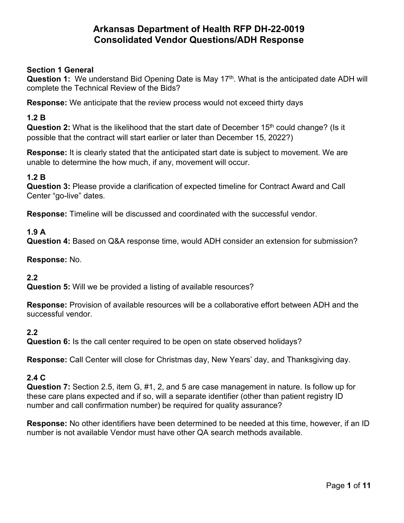### **Section 1 General**

**Question 1:** We understand Bid Opening Date is May 17<sup>th</sup>. What is the anticipated date ADH will complete the Technical Review of the Bids?

**Response:** We anticipate that the review process would not exceed thirty days

#### **1.2 B**

**Question 2:** What is the likelihood that the start date of December 15<sup>th</sup> could change? (Is it possible that the contract will start earlier or later than December 15, 2022?)

**Response:** It is clearly stated that the anticipated start date is subject to movement. We are unable to determine the how much, if any, movement will occur.

#### **1.2 B**

**Question 3:** Please provide a clarification of expected timeline for Contract Award and Call Center "go-live" dates.

**Response:** Timeline will be discussed and coordinated with the successful vendor.

#### **1.9 A**

**Question 4:** Based on Q&A response time, would ADH consider an extension for submission?

#### **Response:** No.

#### **2.2**

**Question 5:** Will we be provided a listing of available resources?

**Response:** Provision of available resources will be a collaborative effort between ADH and the successful vendor.

#### **2.2**

**Question 6:** Is the call center required to be open on state observed holidays?

**Response:** Call Center will close for Christmas day, New Years' day, and Thanksgiving day.

#### **2.4 C**

**Question 7:** Section 2.5, item G, #1, 2, and 5 are case management in nature. Is follow up for these care plans expected and if so, will a separate identifier (other than patient registry ID number and call confirmation number) be required for quality assurance?

**Response:** No other identifiers have been determined to be needed at this time, however, if an ID number is not available Vendor must have other QA search methods available.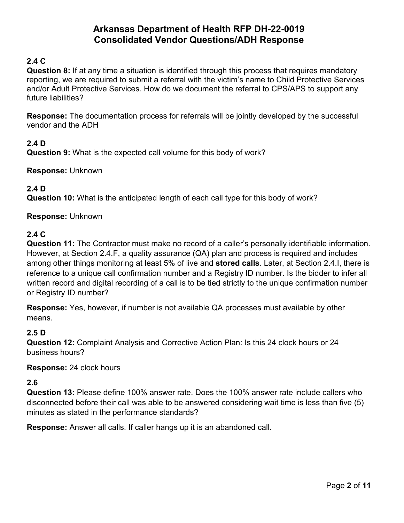## **2.4 C**

**Question 8:** If at any time a situation is identified through this process that requires mandatory reporting, we are required to submit a referral with the victim's name to Child Protective Services and/or Adult Protective Services. How do we document the referral to CPS/APS to support any future liabilities?

**Response:** The documentation process for referrals will be jointly developed by the successful vendor and the ADH

## **2.4 D**

**Question 9:** What is the expected call volume for this body of work?

**Response:** Unknown

### **2.4 D**

**Question 10:** What is the anticipated length of each call type for this body of work?

#### **Response:** Unknown

#### **2.4 C**

**Question 11:** The Contractor must make no record of a caller's personally identifiable information. However, at Section 2.4.F, a quality assurance (QA) plan and process is required and includes among other things monitoring at least 5% of live and **stored calls**. Later, at Section 2.4.I, there is reference to a unique call confirmation number and a Registry ID number. Is the bidder to infer all written record and digital recording of a call is to be tied strictly to the unique confirmation number or Registry ID number?

**Response:** Yes, however, if number is not available QA processes must available by other means.

#### **2.5 D**

**Question 12:** Complaint Analysis and Corrective Action Plan: Is this 24 clock hours or 24 business hours?

#### **Response:** 24 clock hours

#### **2.6**

**Question 13:** Please define 100% answer rate. Does the 100% answer rate include callers who disconnected before their call was able to be answered considering wait time is less than five (5) minutes as stated in the performance standards?

**Response:** Answer all calls. If caller hangs up it is an abandoned call.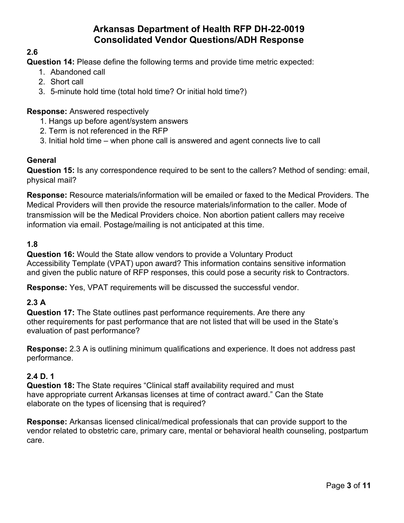## **2.6**

**Question 14:** Please define the following terms and provide time metric expected:

- 1. Abandoned call
- 2. Short call
- 3. 5-minute hold time (total hold time? Or initial hold time?)

## **Response:** Answered respectively

- 1. Hangs up before agent/system answers
- 2. Term is not referenced in the RFP
- 3. Initial hold time when phone call is answered and agent connects live to call

## **General**

**Question 15:** Is any correspondence required to be sent to the callers? Method of sending: email, physical mail?

**Response:** Resource materials/information will be emailed or faxed to the Medical Providers. The Medical Providers will then provide the resource materials/information to the caller. Mode of transmission will be the Medical Providers choice. Non abortion patient callers may receive information via email. Postage/mailing is not anticipated at this time.

## **1.8**

**Question 16:** Would the State allow vendors to provide a Voluntary Product Accessibility Template (VPAT) upon award? This information contains sensitive information and given the public nature of RFP responses, this could pose a security risk to Contractors.

**Response:** Yes, VPAT requirements will be discussed the successful vendor.

## **2.3 A**

**Question 17:** The State outlines past performance requirements. Are there any other requirements for past performance that are not listed that will be used in the State's evaluation of past performance?

**Response:** 2.3 A is outlining minimum qualifications and experience. It does not address past performance.

## **2.4 D. 1**

**Question 18:** The State requires "Clinical staff availability required and must have appropriate current Arkansas licenses at time of contract award." Can the State elaborate on the types of licensing that is required?

**Response:** Arkansas licensed clinical/medical professionals that can provide support to the vendor related to obstetric care, primary care, mental or behavioral health counseling, postpartum care.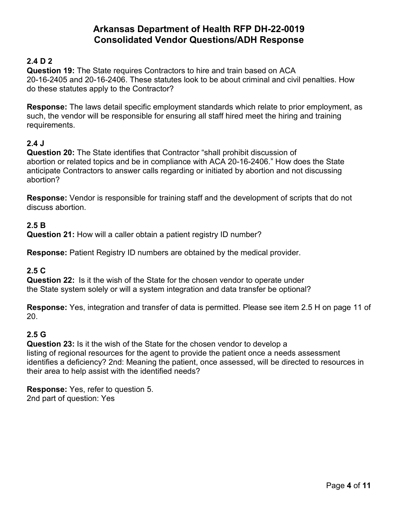## **2.4 D 2**

**Question 19:** The State requires Contractors to hire and train based on ACA 20-16-2405 and 20-16-2406. These statutes look to be about criminal and civil penalties. How do these statutes apply to the Contractor?

**Response:** The laws detail specific employment standards which relate to prior employment, as such, the vendor will be responsible for ensuring all staff hired meet the hiring and training requirements.

### **2.4 J**

**Question 20:** The State identifies that Contractor "shall prohibit discussion of abortion or related topics and be in compliance with ACA 20-16-2406." How does the State anticipate Contractors to answer calls regarding or initiated by abortion and not discussing abortion?

**Response:** Vendor is responsible for training staff and the development of scripts that do not discuss abortion.

### **2.5 B**

**Question 21:** How will a caller obtain a patient registry ID number?

**Response:** Patient Registry ID numbers are obtained by the medical provider.

## **2.5 C**

**Question 22:** Is it the wish of the State for the chosen vendor to operate under the State system solely or will a system integration and data transfer be optional?

**Response:** Yes, integration and transfer of data is permitted. Please see item 2.5 H on page 11 of 20.

#### **2.5 G**

**Question 23:** Is it the wish of the State for the chosen vendor to develop a listing of regional resources for the agent to provide the patient once a needs assessment identifies a deficiency? 2nd: Meaning the patient, once assessed, will be directed to resources in their area to help assist with the identified needs?

**Response:** Yes, refer to question 5. 2nd part of question: Yes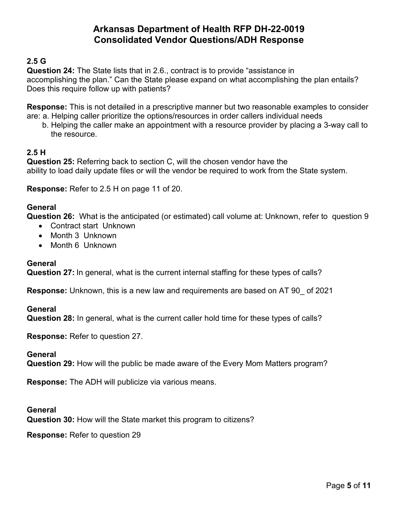## **2.5 G**

**Question 24:** The State lists that in 2.6., contract is to provide "assistance in accomplishing the plan." Can the State please expand on what accomplishing the plan entails? Does this require follow up with patients?

**Response:** This is not detailed in a prescriptive manner but two reasonable examples to consider are: a. Helping caller prioritize the options/resources in order callers individual needs

 b. Helping the caller make an appointment with a resource provider by placing a 3-way call to the resource.

#### **2.5 H**

**Question 25:** Referring back to section C, will the chosen vendor have the ability to load daily update files or will the vendor be required to work from the State system.

**Response:** Refer to 2.5 H on page 11 of 20.

### **General**

**Question 26:** What is the anticipated (or estimated) call volume at: Unknown, refer to question 9

- Contract start Unknown
- Month 3 Unknown
- Month 6 Unknown

#### **General**

**Question 27:** In general, what is the current internal staffing for these types of calls?

**Response:** Unknown, this is a new law and requirements are based on AT 90\_ of 2021

**General**

**Question 28:** In general, what is the current caller hold time for these types of calls?

**Response:** Refer to question 27.

**General**

**Question 29:** How will the public be made aware of the Every Mom Matters program?

**Response:** The ADH will publicize via various means.

**General Question 30:** How will the State market this program to citizens?

**Response:** Refer to question 29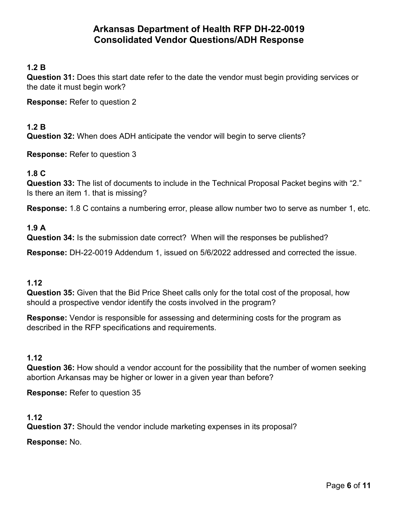## **1.2 B**

**Question 31:** Does this start date refer to the date the vendor must begin providing services or the date it must begin work?

**Response:** Refer to question 2

#### **1.2 B**

**Question 32:** When does ADH anticipate the vendor will begin to serve clients?

**Response:** Refer to question 3

#### **1.8 C**

**Question 33:** The list of documents to include in the Technical Proposal Packet begins with "2." Is there an item 1. that is missing?

**Response:** 1.8 C contains a numbering error, please allow number two to serve as number 1, etc.

#### **1.9 A**

**Question 34:** Is the submission date correct? When will the responses be published?

**Response:** DH-22-0019 Addendum 1, issued on 5/6/2022 addressed and corrected the issue.

#### **1.12**

**Question 35:** Given that the Bid Price Sheet calls only for the total cost of the proposal, how should a prospective vendor identify the costs involved in the program?

**Response:** Vendor is responsible for assessing and determining costs for the program as described in the RFP specifications and requirements.

#### **1.12**

**Question 36:** How should a vendor account for the possibility that the number of women seeking abortion Arkansas may be higher or lower in a given year than before?

**Response:** Refer to question 35

#### **1.12**

**Question 37:** Should the vendor include marketing expenses in its proposal?

**Response:** No.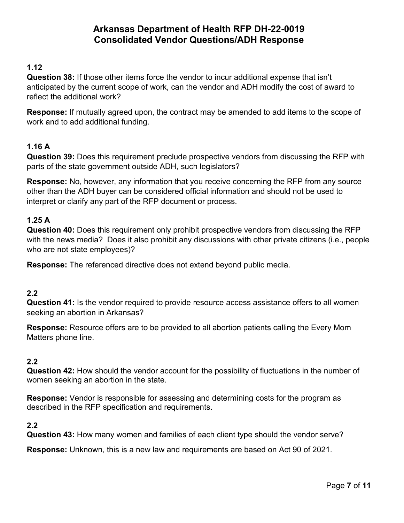### **1.12**

**Question 38:** If those other items force the vendor to incur additional expense that isn't anticipated by the current scope of work, can the vendor and ADH modify the cost of award to reflect the additional work?

**Response:** If mutually agreed upon, the contract may be amended to add items to the scope of work and to add additional funding.

## **1.16 A**

**Question 39:** Does this requirement preclude prospective vendors from discussing the RFP with parts of the state government outside ADH, such legislators?

**Response:** No, however, any information that you receive concerning the RFP from any source other than the ADH buyer can be considered official information and should not be used to interpret or clarify any part of the RFP document or process.

#### **1.25 A**

**Question 40:** Does this requirement only prohibit prospective vendors from discussing the RFP with the news media? Does it also prohibit any discussions with other private citizens (i.e., people who are not state employees)?

**Response:** The referenced directive does not extend beyond public media.

#### **2.2**

**Question 41:** Is the vendor required to provide resource access assistance offers to all women seeking an abortion in Arkansas?

**Response:** Resource offers are to be provided to all abortion patients calling the Every Mom Matters phone line.

#### **2.2**

**Question 42:** How should the vendor account for the possibility of fluctuations in the number of women seeking an abortion in the state.

**Response:** Vendor is responsible for assessing and determining costs for the program as described in the RFP specification and requirements.

#### **2.2**

**Question 43:** How many women and families of each client type should the vendor serve?

**Response:** Unknown, this is a new law and requirements are based on Act 90 of 2021.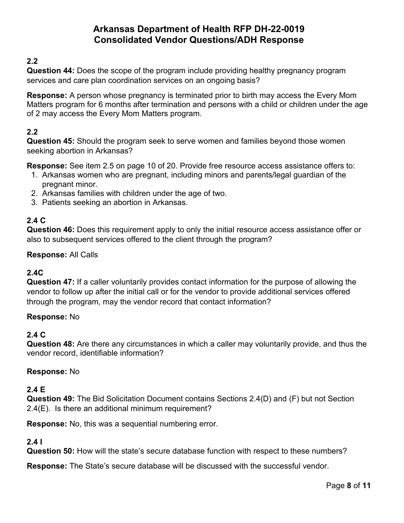## **2.2**

**Question 44:** Does the scope of the program include providing healthy pregnancy program services and care plan coordination services on an ongoing basis?

**Response:** A person whose pregnancy is terminated prior to birth may access the Every Mom Matters program for 6 months after termination and persons with a child or children under the age of 2 may access the Every Mom Matters program.

## **2.2**

**Question 45:** Should the program seek to serve women and families beyond those women seeking abortion in Arkansas?

**Response:** See item 2.5 on page 10 of 20. Provide free resource access assistance offers to:

- 1. Arkansas women who are pregnant, including minors and parents/legal guardian of the pregnant minor.
- 2. Arkansas families with children under the age of two.
- 3. Patients seeking an abortion in Arkansas.

## **2.4 C**

**Question 46:** Does this requirement apply to only the initial resource access assistance offer or also to subsequent services offered to the client through the program?

### **Response:** All Calls

## **2.4C**

**Question 47:** If a caller voluntarily provides contact information for the purpose of allowing the vendor to follow up after the initial call or for the vendor to provide additional services offered through the program, may the vendor record that contact information?

#### **Response:** No

#### **2.4 C**

**Question 48:** Are there any circumstances in which a caller may voluntarily provide, and thus the vendor record, identifiable information?

#### **Response:** No

## **2.4 E**

**Question 49:** The Bid Solicitation Document contains Sections 2.4(D) and (F) but not Section 2.4(E). Is there an additional minimum requirement?

**Response:** No, this was a sequential numbering error.

## **2.4 I**

**Question 50:** How will the state's secure database function with respect to these numbers?

**Response:** The State's secure database will be discussed with the successful vendor.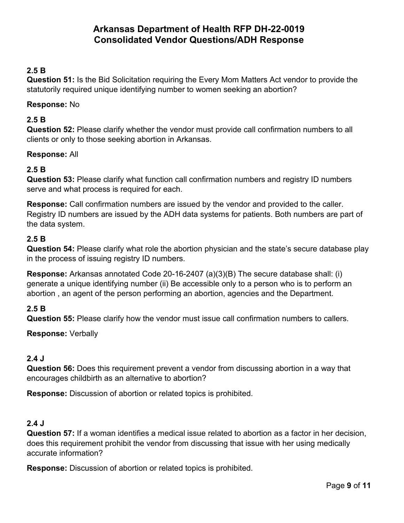## **2.5 B**

**Question 51:** Is the Bid Solicitation requiring the Every Mom Matters Act vendor to provide the statutorily required unique identifying number to women seeking an abortion?

#### **Response:** No

### **2.5 B**

**Question 52:** Please clarify whether the vendor must provide call confirmation numbers to all clients or only to those seeking abortion in Arkansas.

#### **Response:** All

## **2.5 B**

**Question 53:** Please clarify what function call confirmation numbers and registry ID numbers serve and what process is required for each.

**Response:** Call confirmation numbers are issued by the vendor and provided to the caller. Registry ID numbers are issued by the ADH data systems for patients. Both numbers are part of the data system.

### **2.5 B**

**Question 54:** Please clarify what role the abortion physician and the state's secure database play in the process of issuing registry ID numbers.

**Response:** Arkansas annotated Code 20-16-2407 (a)(3)(B) The secure database shall: (i) generate a unique identifying number (ii) Be accessible only to a person who is to perform an abortion , an agent of the person performing an abortion, agencies and the Department.

## **2.5 B**

**Question 55:** Please clarify how the vendor must issue call confirmation numbers to callers.

**Response:** Verbally

## **2.4 J**

**Question 56:** Does this requirement prevent a vendor from discussing abortion in a way that encourages childbirth as an alternative to abortion?

**Response:** Discussion of abortion or related topics is prohibited.

#### **2.4 J**

**Question 57:** If a woman identifies a medical issue related to abortion as a factor in her decision, does this requirement prohibit the vendor from discussing that issue with her using medically accurate information?

**Response:** Discussion of abortion or related topics is prohibited.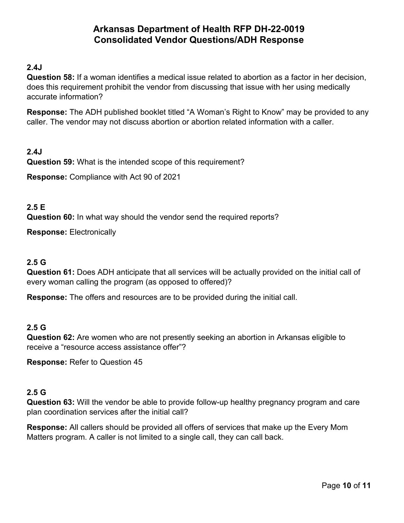### **2.4J**

**Question 58:** If a woman identifies a medical issue related to abortion as a factor in her decision, does this requirement prohibit the vendor from discussing that issue with her using medically accurate information?

**Response:** The ADH published booklet titled "A Woman's Right to Know" may be provided to any caller. The vendor may not discuss abortion or abortion related information with a caller.

**2.4J Question 59:** What is the intended scope of this requirement?

**Response:** Compliance with Act 90 of 2021

#### **2.5 E**

**Question 60:** In what way should the vendor send the required reports?

**Response:** Electronically

#### **2.5 G**

**Question 61:** Does ADH anticipate that all services will be actually provided on the initial call of every woman calling the program (as opposed to offered)?

**Response:** The offers and resources are to be provided during the initial call.

#### **2.5 G**

**Question 62:** Are women who are not presently seeking an abortion in Arkansas eligible to receive a "resource access assistance offer"?

**Response:** Refer to Question 45

#### **2.5 G**

**Question 63:** Will the vendor be able to provide follow-up healthy pregnancy program and care plan coordination services after the initial call?

**Response:** All callers should be provided all offers of services that make up the Every Mom Matters program. A caller is not limited to a single call, they can call back.